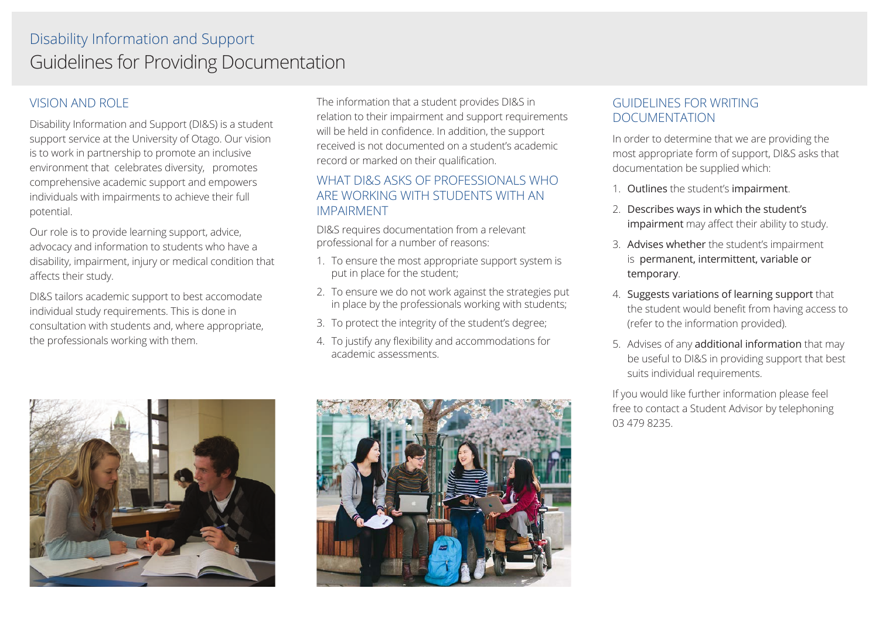## VISION AND ROLE

Disability Information and Support (DI&S) is a student support service at the University of Otago. Our vision is to work in partnership to promote an inclusive environment that celebrates diversity, promotes comprehensive academic support and empowers individuals with impairments to achieve their full potential.

Our role is to provide learning support, advice, advocacy and information to students who have a disability, impairment, injury or medical condition that affects their study.

DI&S tailors academic support to best accomodate individual study requirements. This is done in consultation with students and, where appropriate, the professionals working with them.

The information that a student provides DI&S in relation to their impairment and support requirements will be held in confidence. In addition, the support received is not documented on a student's academic record or marked on their qualification.

## WHAT DI&S ASKS OF PROFESSIONALS WHO ARE WORKING WITH STUDENTS WITH AN IMPAIRMENT

DI&S requires documentation from a relevant professional for a number of reasons:

- 1. To ensure the most appropriate support system is put in place for the student;
- 2. To ensure we do not work against the strategies put in place by the professionals working with students;
- 3. To protect the integrity of the student's degree;
- 4. To justify any flexibility and accommodations for academic assessments.





## GUIDELINES FOR WRITING DOCUMENTATION

In order to determine that we are providing the most appropriate form of support, DI&S asks that documentation be supplied which:

- 1. Outlines the student's impairment.
- 2. Describes ways in which the student's impairment may affect their ability to study.
- 3. Advises whether the student's impairment is permanent, intermittent, variable or temporary.
- 4. Suggests variations of learning support that the student would benefit from having access to (refer to the information provided).
- 5. Advises of any additional information that may be useful to DI&S in providing support that best suits individual requirements.

If you would like further information please feel free to contact a Student Advisor by telephoning 03 479 8235.